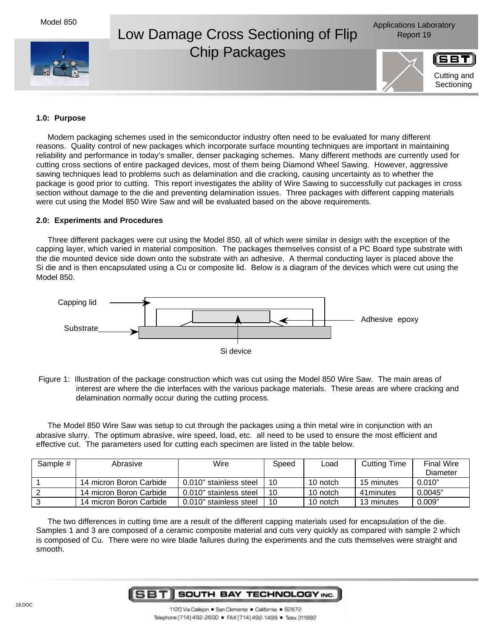



## Low Damage Cross Sectioning of Flip Report 19 Chip Packages



## **1.0: Purpose**

Modern packaging schemes used in the semiconductor industry often need to be evaluated for many different reasons. Quality control of new packages which incorporate surface mounting techniques are important in maintaining reliability and performance in today's smaller, denser packaging schemes. Many different methods are currently used for cutting cross sections of entire packaged devices, most of them being Diamond Wheel Sawing. However, aggressive sawing techniques lead to problems such as delamination and die cracking, causing uncertainty as to whether the package is good prior to cutting. This report investigates the ability of Wire Sawing to successfully cut packages in cross section without damage to the die and preventing delamination issues. Three packages with different capping materials were cut using the Model 850 Wire Saw and will be evaluated based on the above requirements.

## **2.0: Experiments and Procedures**

Three different packages were cut using the Model 850, all of which were similar in design with the exception of the capping layer, which varied in material composition. The packages themselves consist of a PC Board type substrate with the die mounted device side down onto the substrate with an adhesive. A thermal conducting layer is placed above the Si die and is then encapsulated using a Cu or composite lid. Below is a diagram of the devices which were cut using the Model 850.



| Figure 1: Illustration of the package construction which was cut using the Model 850 Wire Saw. The main areas of |
|------------------------------------------------------------------------------------------------------------------|
| interest are where the die interfaces with the various package materials. These areas are where cracking and     |
| delamination normally occur during the cutting process.                                                          |

The Model 850 Wire Saw was setup to cut through the packages using a thin metal wire in conjunction with an abrasive slurry. The optimum abrasive, wire speed, load, etc. all need to be used to ensure the most efficient and effective cut. The parameters used for cutting each specimen are listed in the table below.

| Sample # | Abrasive                | Wire                   | Speed | Load     | <b>Cutting Time</b> | <b>Final Wire</b> |
|----------|-------------------------|------------------------|-------|----------|---------------------|-------------------|
|          |                         |                        |       |          |                     | Diameter          |
|          | 14 micron Boron Carbide | 0.010" stainless steel | 10    | 10 notch | 15 minutes          | 0.010"            |
|          | 14 micron Boron Carbide | 0.010" stainless steel | 10    | 10 notch | 41 minutes          | 0.0045"           |
|          | 14 micron Boron Carbide | 0.010" stainless steel | 10    | 10 notch | 13 minutes          | 0.009"            |

The two differences in cutting time are a result of the different capping materials used for encapsulation of the die. Samples 1 and 3 are composed of a ceramic composite material and cuts very quickly as compared with sample 2 which is composed of Cu. There were no wire blade failures during the experiments and the cuts themselves were straight and smooth.